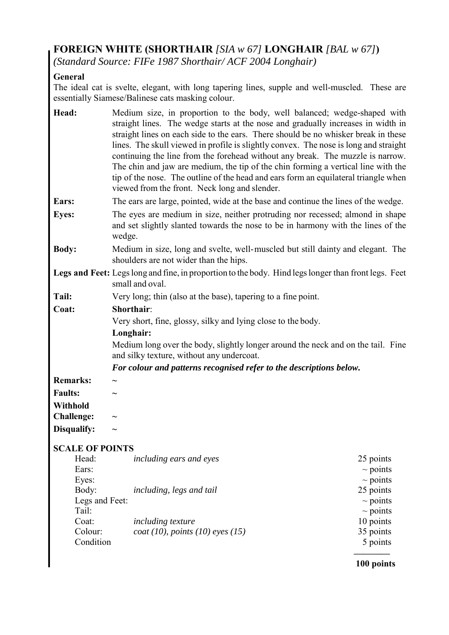## **FOREIGN WHITE (SHORTHAIR** *[SIA w 67]* **LONGHAIR** *[BAL w 67]***)**

*(Standard Source: FIFe 1987 Shorthair/ ACF 2004 Longhair)* 

## **General**

The ideal cat is svelte, elegant, with long tapering lines, supple and well-muscled. These are essentially Siamese/Balinese cats masking colour.

| Head:                  | Medium size, in proportion to the body, well balanced; wedge-shaped with<br>straight lines. The wedge starts at the nose and gradually increases in width in<br>straight lines on each side to the ears. There should be no whisker break in these<br>lines. The skull viewed in profile is slightly convex. The nose is long and straight<br>continuing the line from the forehead without any break. The muzzle is narrow.<br>The chin and jaw are medium, the tip of the chin forming a vertical line with the<br>tip of the nose. The outline of the head and ears form an equilateral triangle when<br>viewed from the front. Neck long and slender. |                            |  |  |
|------------------------|-----------------------------------------------------------------------------------------------------------------------------------------------------------------------------------------------------------------------------------------------------------------------------------------------------------------------------------------------------------------------------------------------------------------------------------------------------------------------------------------------------------------------------------------------------------------------------------------------------------------------------------------------------------|----------------------------|--|--|
| Ears:                  | The ears are large, pointed, wide at the base and continue the lines of the wedge.                                                                                                                                                                                                                                                                                                                                                                                                                                                                                                                                                                        |                            |  |  |
| <b>Eyes:</b>           | The eyes are medium in size, neither protruding nor recessed; almond in shape<br>and set slightly slanted towards the nose to be in harmony with the lines of the<br>wedge.                                                                                                                                                                                                                                                                                                                                                                                                                                                                               |                            |  |  |
| <b>Body:</b>           | Medium in size, long and svelte, well-muscled but still dainty and elegant. The<br>shoulders are not wider than the hips.                                                                                                                                                                                                                                                                                                                                                                                                                                                                                                                                 |                            |  |  |
|                        | Legs and Feet: Legs long and fine, in proportion to the body. Hind legs longer than front legs. Feet<br>small and oval.                                                                                                                                                                                                                                                                                                                                                                                                                                                                                                                                   |                            |  |  |
| Tail:                  | Very long; thin (also at the base), tapering to a fine point.                                                                                                                                                                                                                                                                                                                                                                                                                                                                                                                                                                                             |                            |  |  |
| Coat:                  | <b>Shorthair:</b>                                                                                                                                                                                                                                                                                                                                                                                                                                                                                                                                                                                                                                         |                            |  |  |
|                        | Very short, fine, glossy, silky and lying close to the body.                                                                                                                                                                                                                                                                                                                                                                                                                                                                                                                                                                                              |                            |  |  |
|                        | Longhair:                                                                                                                                                                                                                                                                                                                                                                                                                                                                                                                                                                                                                                                 |                            |  |  |
|                        | Medium long over the body, slightly longer around the neck and on the tail. Fine<br>and silky texture, without any undercoat.                                                                                                                                                                                                                                                                                                                                                                                                                                                                                                                             |                            |  |  |
|                        | For colour and patterns recognised refer to the descriptions below.                                                                                                                                                                                                                                                                                                                                                                                                                                                                                                                                                                                       |                            |  |  |
| <b>Remarks:</b>        |                                                                                                                                                                                                                                                                                                                                                                                                                                                                                                                                                                                                                                                           |                            |  |  |
| <b>Faults:</b>         |                                                                                                                                                                                                                                                                                                                                                                                                                                                                                                                                                                                                                                                           |                            |  |  |
| <b>Withhold</b>        |                                                                                                                                                                                                                                                                                                                                                                                                                                                                                                                                                                                                                                                           |                            |  |  |
| <b>Challenge:</b>      |                                                                                                                                                                                                                                                                                                                                                                                                                                                                                                                                                                                                                                                           |                            |  |  |
| Disqualify:            |                                                                                                                                                                                                                                                                                                                                                                                                                                                                                                                                                                                                                                                           |                            |  |  |
|                        |                                                                                                                                                                                                                                                                                                                                                                                                                                                                                                                                                                                                                                                           |                            |  |  |
| <b>SCALE OF POINTS</b> |                                                                                                                                                                                                                                                                                                                                                                                                                                                                                                                                                                                                                                                           |                            |  |  |
| Head:                  | including ears and eyes                                                                                                                                                                                                                                                                                                                                                                                                                                                                                                                                                                                                                                   | 25 points                  |  |  |
| Ears:                  |                                                                                                                                                                                                                                                                                                                                                                                                                                                                                                                                                                                                                                                           | $\sim$ points              |  |  |
| Eyes:<br>Body:         |                                                                                                                                                                                                                                                                                                                                                                                                                                                                                                                                                                                                                                                           | $\sim$ points<br>25 points |  |  |
| Legs and Feet:         | including, legs and tail                                                                                                                                                                                                                                                                                                                                                                                                                                                                                                                                                                                                                                  | $\sim$ points              |  |  |
| Tail:                  |                                                                                                                                                                                                                                                                                                                                                                                                                                                                                                                                                                                                                                                           | $\sim$ points              |  |  |
| Coat:                  | <i>including texture</i>                                                                                                                                                                                                                                                                                                                                                                                                                                                                                                                                                                                                                                  | 10 points                  |  |  |
| Colour:                | $\cos(10)$ , points (10) eyes (15)                                                                                                                                                                                                                                                                                                                                                                                                                                                                                                                                                                                                                        | 35 points                  |  |  |
| Condition              |                                                                                                                                                                                                                                                                                                                                                                                                                                                                                                                                                                                                                                                           | 5 points                   |  |  |

**———— 100 points**